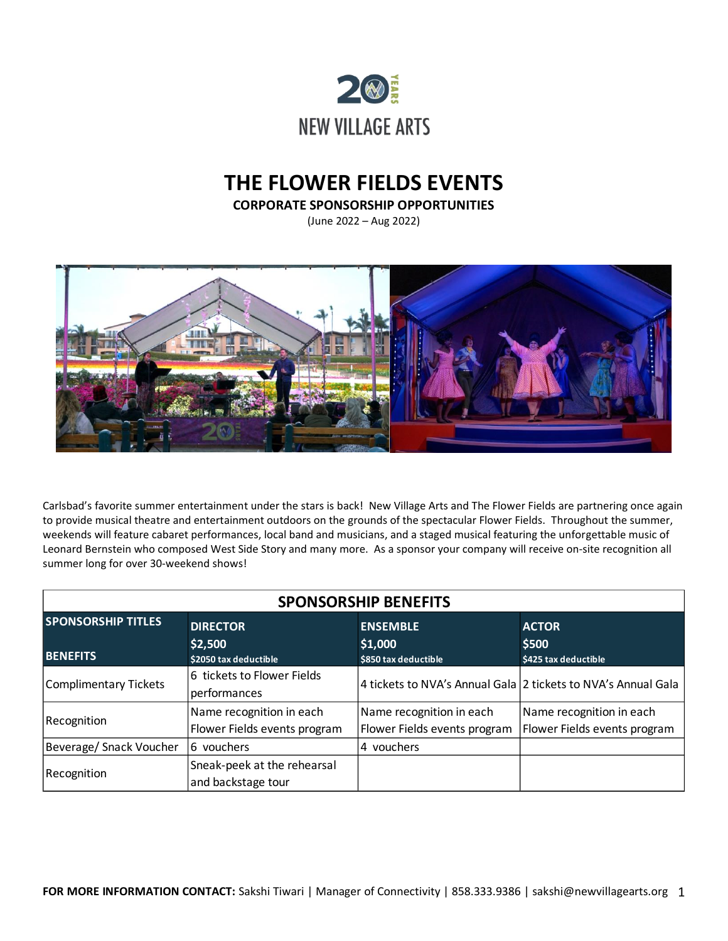

## **THE FLOWER FIELDS EVENTS**

**CORPORATE SPONSORSHIP OPPORTUNITIES**

(June 2022 – Aug 2022)



Carlsbad's favorite summer entertainment under the stars is back! New Village Arts and The Flower Fields are partnering once again to provide musical theatre and entertainment outdoors on the grounds of the spectacular Flower Fields. Throughout the summer, weekends will feature cabaret performances, local band and musicians, and a staged musical featuring the unforgettable music of Leonard Bernstein who composed West Side Story and many more. As a sponsor your company will receive on-site recognition all summer long for over 30-weekend shows!

| <b>SPONSORSHIP BENEFITS</b>                  |                                                          |                                                               |                                                          |
|----------------------------------------------|----------------------------------------------------------|---------------------------------------------------------------|----------------------------------------------------------|
| <b>SPONSORSHIP TITLES</b><br><b>BENEFITS</b> | <b>DIRECTOR</b><br>\$2,500<br>\$2050 tax deductible      | <b>ENSEMBLE</b><br>\$1,000<br>\$850 tax deductible            | <b>ACTOR</b><br>\$500<br>\$425 tax deductible            |
| Complimentary Tickets                        | 6 tickets to Flower Fields<br>performances               | 4 tickets to NVA's Annual Gala 2 tickets to NVA's Annual Gala |                                                          |
| Recognition                                  | Name recognition in each<br>Flower Fields events program | Name recognition in each<br>Flower Fields events program      | Name recognition in each<br>Flower Fields events program |
| Beverage/ Snack Voucher                      | 6 vouchers                                               | 4 vouchers                                                    |                                                          |
| Recognition                                  | Sneak-peek at the rehearsal<br>and backstage tour        |                                                               |                                                          |